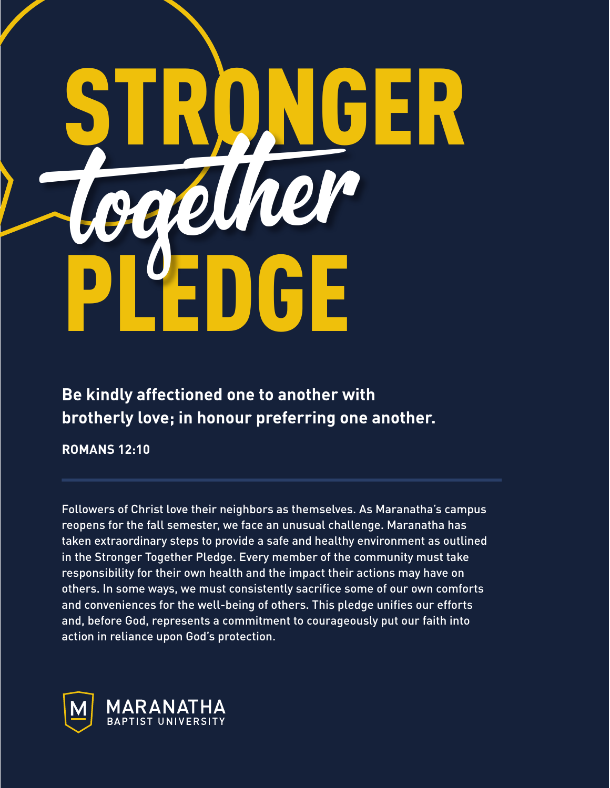## STRONGER PL'EDGE toget her

**Be kindly affectioned one to another with brotherly love; in honour preferring one another.**

**ROMANS 12:10**

Followers of Christ love their neighbors as themselves. As Maranatha's campus reopens for the fall semester, we face an unusual challenge. Maranatha has taken extraordinary steps to provide a safe and healthy environment as outlined in the Stronger Together Pledge. Every member of the community must take responsibility for their own health and the impact their actions may have on others. In some ways, we must consistently sacrifice some of our own comforts and conveniences for the well-being of others. This pledge unifies our efforts and, before God, represents a commitment to courageously put our faith into action in reliance upon God's protection.